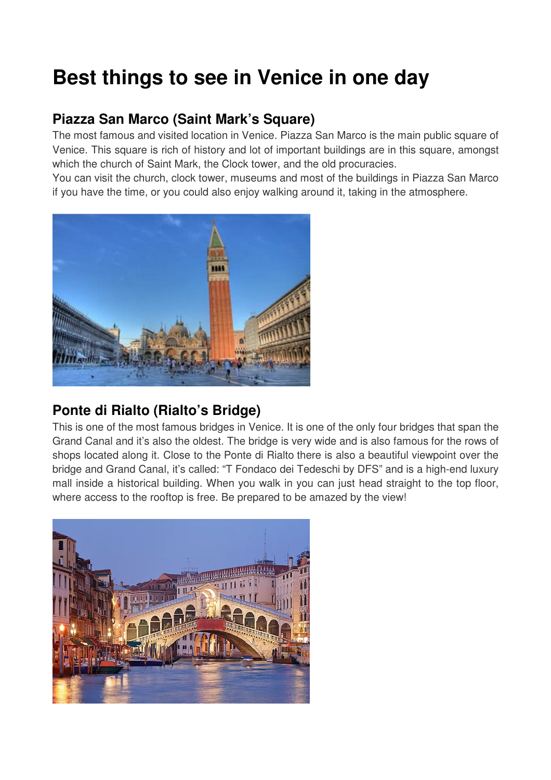# **Best things to see in Venice in one day**

# **Piazza San Marco (Saint Mark's Square)**

The most famous and visited location in Venice. Piazza San Marco is the main public square of Venice. This square is rich of history and lot of important buildings are in this square, amongst which the church of Saint Mark, the Clock tower, and the old procuracies.

You can visit the church, clock tower, museums and most of the buildings in Piazza San Marco if you have the time, or you could also enjoy walking around it, taking in the atmosphere.



# **Ponte di Rialto (Rialto's Bridge)**

This is one of the most famous bridges in Venice. It is one of the only four bridges that span the Grand Canal and it's also the oldest. The bridge is very wide and is also famous for the rows of shops located along it. Close to the Ponte di Rialto there is also a beautiful viewpoint over the bridge and Grand Canal, it's called: "T Fondaco dei Tedeschi by DFS" and is a high-end luxury mall inside a historical building. When you walk in you can just head straight to the top floor, where access to the rooftop is free. Be prepared to be amazed by the view!

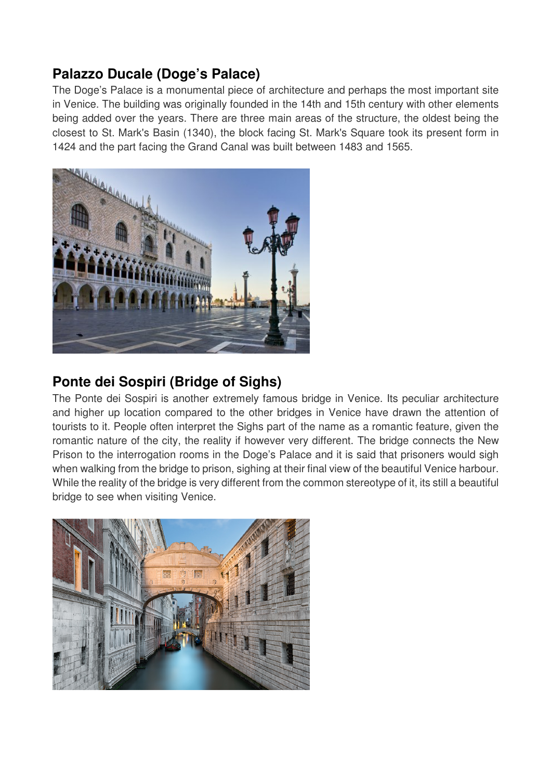## **Palazzo Ducale (Doge's Palace)**

The Doge's Palace is a monumental piece of architecture and perhaps the most important site in Venice. The building was originally founded in the 14th and 15th century with other elements being added over the years. There are three main areas of the structure, the oldest being the closest to St. Mark's Basin (1340), the block facing St. Mark's Square took its present form in 1424 and the part facing the Grand Canal was built between 1483 and 1565.



### **Ponte dei Sospiri (Bridge of Sighs)**

The Ponte dei Sospiri is another extremely famous bridge in Venice. Its peculiar architecture and higher up location compared to the other bridges in Venice have drawn the attention of tourists to it. People often interpret the Sighs part of the name as a romantic feature, given the romantic nature of the city, the reality if however very different. The bridge connects the New Prison to the interrogation rooms in the Doge's Palace and it is said that prisoners would sigh when walking from the bridge to prison, sighing at their final view of the beautiful Venice harbour. While the reality of the bridge is very different from the common stereotype of it, its still a beautiful bridge to see when visiting Venice.